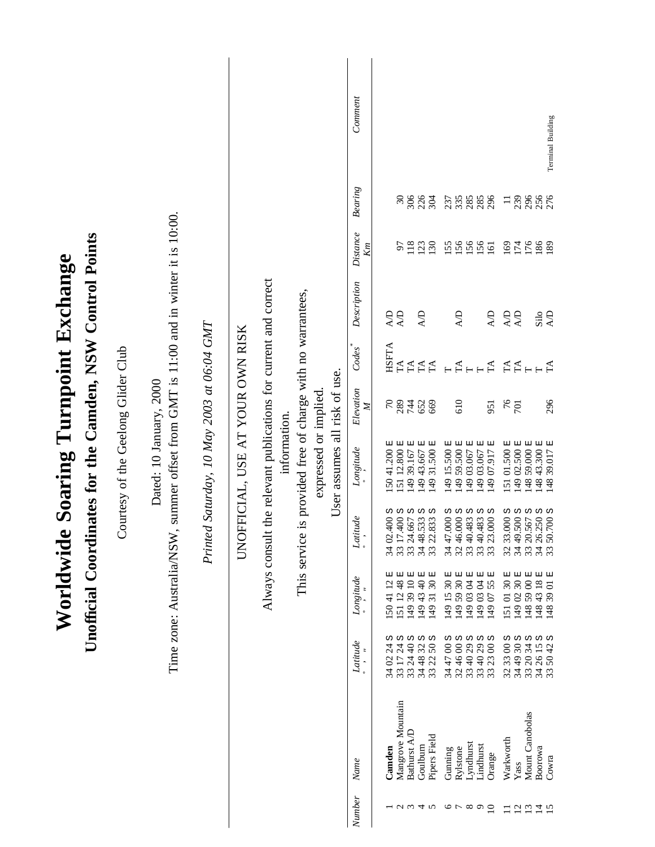|                                   |                                          |                                     |                                                                                       |                                            |                                  |                                                   |              |                                                                        |                               | Comment                     |                              |                                   |                                                                                       |                              |                                                                                |                                 | Terminal Building                                                           |  |
|-----------------------------------|------------------------------------------|-------------------------------------|---------------------------------------------------------------------------------------|--------------------------------------------|----------------------------------|---------------------------------------------------|--------------|------------------------------------------------------------------------|-------------------------------|-----------------------------|------------------------------|-----------------------------------|---------------------------------------------------------------------------------------|------------------------------|--------------------------------------------------------------------------------|---------------------------------|-----------------------------------------------------------------------------|--|
|                                   |                                          |                                     |                                                                                       |                                            |                                  |                                                   |              |                                                                        |                               | $\label{eq:3} Bearing$      | $\mathfrak{S}0$              | 306                               | 226<br>304                                                                            | 335<br>237                   | 285<br>285                                                                     | 239<br>$\Xi$                    | 296<br>256                                                                  |  |
|                                   |                                          |                                     |                                                                                       |                                            |                                  |                                                   |              |                                                                        |                               | Distance<br>Kт              | 57                           | 118                               | 130<br>123                                                                            | 156<br>155                   | 156<br>156<br>161                                                              | 169<br>$\frac{174}{176}$        | $\frac{186}{28}$                                                            |  |
|                                   |                                          |                                     |                                                                                       |                                            |                                  |                                                   |              |                                                                        |                               | Description                 | <b>AD</b><br>$\overline{A}$  |                                   | $\overline{A}$                                                                        | $\overline{A}D$              | <b>AD</b>                                                                      | $\Delta D$<br><b>AD</b>         | $\frac{\text{Slo}}{\text{A/D}}$                                             |  |
|                                   |                                          |                                     |                                                                                       |                                            |                                  |                                                   |              |                                                                        |                               | Codes                       | <b>HSFTA</b>                 | TA<br>TA                          | <b>TA</b>                                                                             | TA                           | TA<br>$\vdash$                                                                 | $\mathop{\text{TA}}\limits_{T}$ | $F \nightharpoonup$                                                         |  |
|                                   |                                          |                                     |                                                                                       |                                            |                                  |                                                   |              |                                                                        |                               | Elevation<br>$\mathbb{Z}$   | $\mathcal{L}$<br>289         | 744                               | 652<br>669                                                                            | 610                          | 951                                                                            | 76<br>701                       | 296                                                                         |  |
| <b>Soaring Turnpoint Exchange</b> | nates for the Camden, NSW Control Points | Courtesy of the Geelong Glider Club | summer offset from GMT is 11:00 and in winter it is 10:00.<br>Dated: 10 January, 2000 | Printed Saturday, 10 May 2003 at 06:04 GMT | UNOFFICIAL, USE AT YOUR OWN RISK | the relevant publications for current and correct | information. | is provided free of charge with no warrantees,<br>expressed or implied | User assumes all risk of use. | $\label{eq:cong} Longitude$ | 150 41.200 E<br>151 12.800 E | 国<br>149 39.167                   | 国国<br>149 43.667<br>31.500 1<br>149                                                   | 149 15.500 E<br>I49 59.500 E | 国国<br>149 03.067 E<br>149 07.917<br>149 03.067                                 | 151 01.500 E<br>149 02.500 E    | $59.000$ E<br>43.300 E<br>国<br>39.017<br>148<br>148<br>148                  |  |
|                                   |                                          |                                     |                                                                                       |                                            |                                  |                                                   |              |                                                                        |                               | ude<br>Latiti<br>.          | w<br>34 02.400 \$            | W                                 | ω ω<br>33 24.667 s<br>34 48.533 s<br>33 22.833 s                                      |                              | 34 47.000 S<br>32 46.000 S<br>32 40.483 S<br>33 40.483 S<br>33 23.000 S        |                                 | 32 33.000 S<br>34 49.500 S<br>33 20.567 S<br>34 26.250 S<br>33 50.700 S     |  |
| Worldwide<br>Unofficial Coordin   |                                          |                                     | Time zone: Australia/NSW                                                              |                                            |                                  | Always consult                                    |              | This service                                                           |                               | Longitude                   | 囸<br>1504112                 |                                   | 151 12 48 E<br>149 39 10 E<br>149 43 40 E<br>149 31 30 E                              | 149 15 30<br>149 59 30       | 国国国国国<br>1490304<br>55<br>1490304<br>14907                                     | 149 02 30<br>1510130            | 色色色色色<br>148 59 00<br>148 43 18<br>$\overline{c}$<br>14839                  |  |
|                                   |                                          |                                     |                                                                                       |                                            |                                  |                                                   |              |                                                                        |                               | $\label{eq:1} Laitiude$     |                              |                                   | <b>a</b> a a a a<br>34 02 24<br>33 17 24 40<br>33 24 48 32<br>34 48 32 50<br>33 22 50 |                              | <b>00 00 00 00</b><br>$344700$<br>$324600$<br>$334029$<br>$334029$<br>$332300$ |                                 | <b>wwww</b><br>32 33 00<br>34 49 30<br>34 20 34<br>34 26 15 1<br>33 50 42 1 |  |
|                                   |                                          |                                     |                                                                                       |                                            |                                  |                                                   |              |                                                                        |                               | Name                        | Camden                       | Mangrove Mountain<br>Bathurst A/D | Pipers Field<br>Goulburn                                                              | Rylstone<br>Gunning          | Lyndhurst<br>Lindhurst<br>Orange                                               | Warkworth<br>Yass               | Mount Canobolas<br>Boorowa<br>Cowra                                         |  |
|                                   |                                          |                                     |                                                                                       |                                            |                                  |                                                   |              |                                                                        |                               | <b>Number</b>               |                              |                                   | $U \omega 4$                                                                          |                              | $\circ \circ \circ \circ \circ \circ$                                          | $\overline{c}$<br>$\equiv$      | $\frac{13}{4}$<br>$\overline{15}$                                           |  |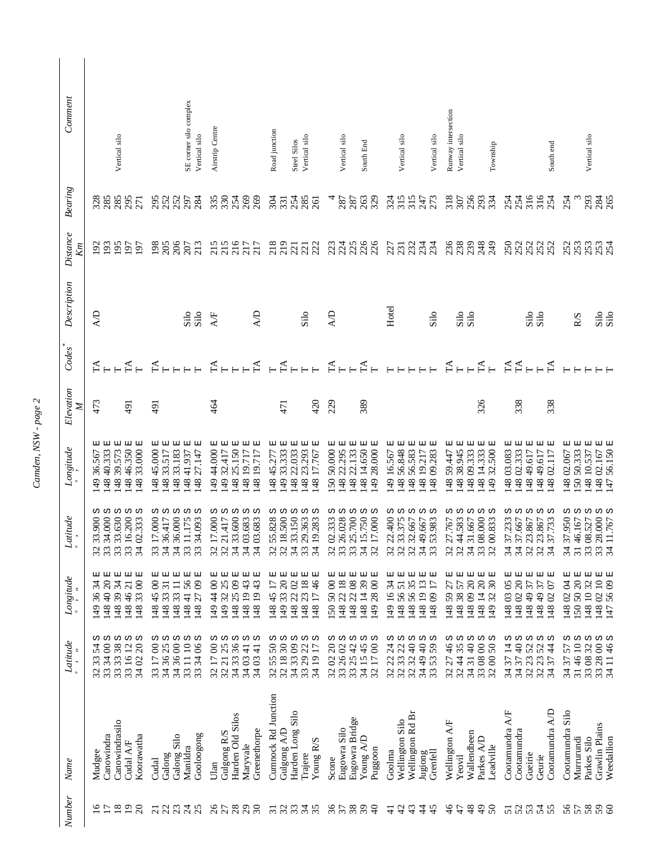| Comment                                                                                                                                                                                                                                                                                                                                                                                                                                                                                                                                                                                                                                                                                                          | Vertical silo                                                                                | SE corner silo complex<br>Vertical silo                                                                                    | Airstrip Centre                                                                                                                                                  | Road junction<br>Vertical silo<br>Steel Silos                                                                                                                    | Vertical silo<br>South End                                                                         | Vertical silo<br>Vertical silo                                                                                                         | Runway intersection<br>Vertical silo<br>Township                                                 | South end                                                                                            | Vertical silo                                                                                                               |
|------------------------------------------------------------------------------------------------------------------------------------------------------------------------------------------------------------------------------------------------------------------------------------------------------------------------------------------------------------------------------------------------------------------------------------------------------------------------------------------------------------------------------------------------------------------------------------------------------------------------------------------------------------------------------------------------------------------|----------------------------------------------------------------------------------------------|----------------------------------------------------------------------------------------------------------------------------|------------------------------------------------------------------------------------------------------------------------------------------------------------------|------------------------------------------------------------------------------------------------------------------------------------------------------------------|----------------------------------------------------------------------------------------------------|----------------------------------------------------------------------------------------------------------------------------------------|--------------------------------------------------------------------------------------------------|------------------------------------------------------------------------------------------------------|-----------------------------------------------------------------------------------------------------------------------------|
|                                                                                                                                                                                                                                                                                                                                                                                                                                                                                                                                                                                                                                                                                                                  |                                                                                              |                                                                                                                            |                                                                                                                                                                  |                                                                                                                                                                  |                                                                                                    |                                                                                                                                        |                                                                                                  |                                                                                                      |                                                                                                                             |
| <b>Bearing</b>                                                                                                                                                                                                                                                                                                                                                                                                                                                                                                                                                                                                                                                                                                   | 285<br>295<br>285<br>328<br>271                                                              | 295<br>252<br>252<br>284<br>297                                                                                            | 335<br>330<br>254<br>269<br>269                                                                                                                                  | 254<br>285<br>304<br>331                                                                                                                                         | 263<br>329<br>287<br>287                                                                           | $\frac{315}{315}$<br>273                                                                                                               | 318<br>307<br>256<br>293<br>334                                                                  | 316<br>316<br>254<br>254<br>254                                                                      | 293<br>254<br>284<br>265                                                                                                    |
| Distance<br>Кm                                                                                                                                                                                                                                                                                                                                                                                                                                                                                                                                                                                                                                                                                                   | $\overline{93}$<br>$\overline{5}$<br>$\overline{5}$<br>$\tilde{5}$<br>197                    | 206<br>198<br>205<br>213<br>207                                                                                            | 217<br>217<br>215<br>215                                                                                                                                         | $\frac{218}{219}$<br>$\frac{2}{3}$ $\frac{2}{3}$                                                                                                                 | 33388<br>23388                                                                                     | ភ្លុក ដូច<br>ភ្លុក ភ្លុង ភ្លុ                                                                                                          | 888889                                                                                           | 250<br>252<br>252                                                                                    | 253<br>252<br>253<br>254                                                                                                    |
| Description                                                                                                                                                                                                                                                                                                                                                                                                                                                                                                                                                                                                                                                                                                      | 4D                                                                                           | $\frac{\rm Silo}{\rm Silo}$                                                                                                | <b>QV</b><br><b>A/F</b>                                                                                                                                          | Silo                                                                                                                                                             | $\mathbb{R}$                                                                                       | Hotel<br>Silo                                                                                                                          | Silo<br>Silo                                                                                     | Silo<br>Silo                                                                                         | Silo<br>Silo<br>R/S                                                                                                         |
| Codes                                                                                                                                                                                                                                                                                                                                                                                                                                                                                                                                                                                                                                                                                                            | FA<br>FA                                                                                     | $F_{F}$                                                                                                                    | $\mathbb{A}_{\Gamma}$<br>$\Gamma$ A                                                                                                                              | $F$ <sub>HHH</sub>                                                                                                                                               | $F + F$<br>$\Gamma$ A                                                                              |                                                                                                                                        | A                                                                                                | A                                                                                                    |                                                                                                                             |
| Elevation<br>Z                                                                                                                                                                                                                                                                                                                                                                                                                                                                                                                                                                                                                                                                                                   | 473<br>191                                                                                   | 491                                                                                                                        | 464                                                                                                                                                              | 420<br>471                                                                                                                                                       | 229<br>389                                                                                         |                                                                                                                                        | 326                                                                                              | 338<br>338                                                                                           |                                                                                                                             |
| $\label{eq:congr} Longitude$                                                                                                                                                                                                                                                                                                                                                                                                                                                                                                                                                                                                                                                                                     | 48 33.000 E<br>48 39.573 E<br>48 46.350 E<br>48 40.333<br>36.567<br>49                       | 45.000 E<br>回<br>48 33.183 E<br>48 41.937 E<br>48 27.147 E<br>48 33.517<br>48                                              | 49 44.000 E<br>32.417 E<br>25.150 E<br>48 19.717 E<br>면<br>48 19.717<br>49<br>48                                                                                 | 囸<br>49 33.333 E<br>며<br>22.033 E<br>23.293<br>48 17.767<br>48 45.277<br>48<br>48                                                                                | 50.000 E<br>22.295 E<br>22.133 E<br>14.650 E<br>28.000 E<br>49.<br>48<br>50<br>48<br>48            | 16.567 E<br>56.848 E<br>国<br>56.583 E<br>48 09.283<br>19.217<br>49<br>48<br>48<br>48                                                   | 48 38.945 E<br>148 09.333 E<br>148 14.333 E<br>32.500 E<br>며<br>59.447<br>49<br>48               | 03.083E<br>48 02.333 E<br>48 02.117 E<br>49.617<br>48 49.617<br>48<br>48                             | 囸<br>50 50.333 E<br>148 02.167 E<br>147 56.150 E<br>56.150 E<br>48 02.067<br>48 10.537                                      |
| $\label{eq:1} Laitude$                                                                                                                                                                                                                                                                                                                                                                                                                                                                                                                                                                                                                                                                                           | w<br>w<br>w<br>S<br>32 33,900 s<br>33 34,000 s<br>33 33,630 s<br>33 16,200 s<br>34 02,333 s  | ω ω<br>w<br>w<br>S<br>83 17.000<br>84 36.417<br>13 11.175<br>33 17.000<br>34 36.417<br>34 36.000<br>33 11.175<br>33 34.093 | w<br>w<br>ω ω<br>ဟ<br>32 17.000 ;<br>32 21.417 ;<br>34 33.600 ;<br>$\begin{array}{c} 32\ 17.000\\ 32\ 21.417\\ 34\ 33.600\\ 34\ 03.683\\ 34\ 03.683 \end{array}$ | w<br>w<br>ဟ<br>w<br>ω<br>32 55.828 s<br>32 18.500 :<br>33.150<br>33 29.363<br>34 19.283<br>$\frac{2}{3}$ $\frac{2}{3}$ $\frac{4}{3}$ $\frac{4}{3}$ $\frac{4}{3}$ | w<br>ω ω<br>w<br>ω<br>33 25.700 ;<br>34 15.750 ;<br>32 17.000 ;<br>12 02.333<br>13 26.028<br>mmmmm | ω<br>w<br>w<br>ω ω<br>22.400<br>33.375<br>32.667<br>53.983<br>49.667<br>$\sim$ $\sim$<br>$\overline{ }$<br>$\omega$<br>$\sim$<br>mmmmm | ω ω<br>ω ω ω<br>44.583<br>4 31.667<br>3 08.000<br>200.833<br>27.767<br>$\sim$<br>$\sim$<br>mmmmm | ω ω<br>S<br>ပာ<br>ω<br>37.233<br>37.667<br>23.867<br>23.867<br>37.733<br><b>AA</b><br>MA<br>MA<br>MA | ω ω<br>ω ω ω<br>28.000<br>37.950<br>3 08.527<br>46.167<br>11.767<br>$\overline{4}$<br>$\overline{4}$<br>$\epsilon$<br>mmmmm |
| $\label{eq:cong} Longitude$                                                                                                                                                                                                                                                                                                                                                                                                                                                                                                                                                                                                                                                                                      | 国<br>国<br>国<br>囸<br>囸<br>148 40 20<br>148 39 34<br>34<br>148 46 21<br>148 33 00<br>36<br>149 | 囸<br>囸<br>国<br>囸<br>더<br>148 41 56<br>148 45 00<br>148 33 31<br>148 27 09<br>148 33 11                                     | 国<br>더<br>囸<br>더<br>囯<br>149 32 25<br>149 44 00<br>148 25 09<br>148 19 43<br>148 19 43                                                                           | 149 33 20 E<br>囸<br>더<br>囸<br>囸<br>148 23 18<br>46<br>148 22 02<br>148 45 17<br>14817                                                                            | 囸<br>148 22 18 E<br>囸<br>囸<br>囸<br>150 50 00<br>148 22 08<br>148 14 39<br>149 28 00                | 티<br>囯<br>囸<br>囸<br>囸<br>149 16 34<br>148 56 35<br>148 19 13 1<br>148 09 17 1<br>1485651                                               | 国<br>囸<br>囸<br>囸<br>148 14 20<br>148 38 57<br>1480920<br>30<br>1485927<br>14932                  | 囸<br>囸<br>囸<br>囸<br>148 02 20<br>1480305<br>148 49 37<br>148 49 37<br>1480207                        | 囸<br>国<br>国<br>国国<br>150 50 20<br>1480204<br>148 10 32<br>148 02 10<br>1475609                                              |
| $Laitiude% \[ \includegraphics[width=1.8\textwidth]{Figures/12.png} \caption{The 3D (black) model for a $n=3$-error of the data set. The 3D (black) model is shown in the left panel. The 3D (black) model is shown in the right panel. The 3D (black) model is shown in the right panel. The 3D (black) model is shown in the right panel. The 3D (black) model is shown in the right panel. The 3D (black) model is shown in the right panel. The 3D (black) model is shown in the right panel. The 3D (black) model is shown in the right panel. The 3D (black) model is shown in the right panel. The 3D (black) model is shown in the right panel. The 3D (black) model is shown in the right panel. The 3$ | ω ω<br>ω<br>ω<br>ω<br>32 33 54<br>33 34 00<br>33 33 38<br>33 16 12<br>34 02 20               | ω ω<br>ω<br>ω ω<br>33 11 10 1<br>33 34 06 1<br>33 17 00 1<br>34 36 00                                                      | ω ω<br>ω ω ω<br>34 33 36<br>32 17 00<br>34 03 41<br>$\frac{1}{4}$<br>3403                                                                                        | ω ω<br>ω ω ω<br>32 18 30<br>50<br>34 33 09<br>33 29 22<br>34 19 17<br>55<br>32                                                                                   | w<br><b>ωωωω</b><br>32 02 20<br>33 26 02<br>33 25 42<br>34 15 45<br>32 17 00                       | <b>ω ω ω ω</b><br>34 49 40<br>$32\,22\,24\\ 32\,33\,22\\ 40$<br>59<br>53<br>33                                                         | <b>ω ω ω ω</b><br>33 08 00 1<br>32 00 50 1<br>$\frac{4}{6}$<br>32 44 35<br>34 31 40<br>27<br>32  | <b>ω ω ω ω</b><br>$\overline{4}$<br>34 37 40<br>52<br>34 37 44<br>52<br>3223<br>37<br>34             | <b>00 00 00 00</b><br>31 46 10<br>33 28 00<br>34 11 46<br>33 08 32<br>34 37 57                                              |
| Name                                                                                                                                                                                                                                                                                                                                                                                                                                                                                                                                                                                                                                                                                                             | Canowindrasilo<br>Canowindra<br>Koorawatha<br>Cudal A/F<br>Mudgee                            | Gooloogong<br>Galong<br>Galong Silo<br>Manildra<br>Cudal                                                                   | Harden Old Silos<br>Greenethorpe<br>Gulgong R/S<br>Maryvale<br>Ulan                                                                                              | Cunnock Rd Junction<br>Harden Long Silo<br>Gulgong A/D<br>Young R/S<br>Trajere                                                                                   | Eugowra Bridge<br>Eugowra Silo<br>Young A/D<br>Puggoon<br>Scone                                    | Wellington Rd Br<br>Wellington Silo<br>Goolma<br>Jugiong<br>Grenfell                                                                   | Wellington A/F<br>Wallendbeen<br>Parkes A/D<br>Leadville<br>Yeovil                               | Cootamundra A/D<br>Cootamundra A/F<br>Cootamundra<br>Gueirie<br>Geurie                               | Cootamundra Silo<br>Grawlin Plains<br>Murrurundi<br>Weedallion<br>Parkes Silo                                               |
| Number                                                                                                                                                                                                                                                                                                                                                                                                                                                                                                                                                                                                                                                                                                           | $\overline{18}$<br>$\tilde{\sigma}$<br>$\overline{19}$<br>$\Omega$                           | $\overline{c}$<br>22<br>23<br>25<br>$\overline{21}$                                                                        | <b>ARAAR</b>                                                                                                                                                     | 32<br>3348<br>$\overline{31}$                                                                                                                                    | 36<br>38<br>57<br>$\Theta$                                                                         | $\overline{4}$<br>43<br>$\ddot{4}$<br>45<br>$\frac{1}{4}$                                                                              | 48<br>$\frac{1}{2}$<br>$50\,$<br>$\frac{4}{6}$<br>47                                             | 55555<br>$\overline{51}$                                                                             | 56 58<br>59<br>$\delta$                                                                                                     |

Camden, NSW - page 2 *Camden, NSW - page 2*

 $\overline{\phantom{a}}$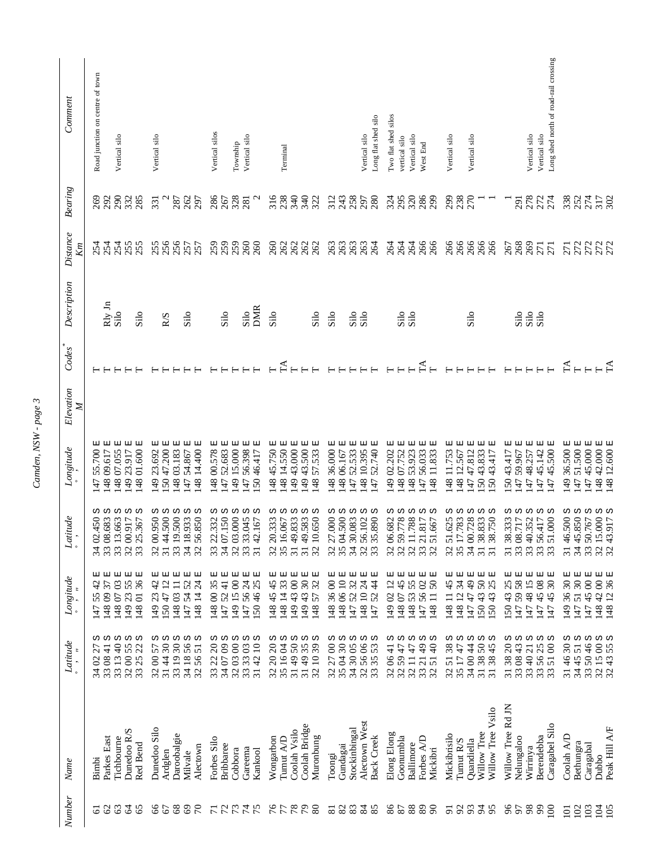| <b>Number</b>       | Name                             | Latitude                                                                                           | $Longitude$<br>$\cdot$ $\cdot$     | $\label{eq:1} Laitude$                                            | $\label{eq:congr} Longitude$                        | Elevation<br>$\mathbb{Z}$ | Codes                     | Description        | Distance<br>$\mathbb{Z}^n$ | $\label{eq:3} Bearing$ | Comment                               |
|---------------------|----------------------------------|----------------------------------------------------------------------------------------------------|------------------------------------|-------------------------------------------------------------------|-----------------------------------------------------|---------------------------|---------------------------|--------------------|----------------------------|------------------------|---------------------------------------|
| ତ                   | <b>Bimbi</b>                     | 27<br>$\infty$<br>34                                                                               | $4^{\circ}$<br>55<br>147           | ω<br>34 02.450                                                    | 모<br>55.700<br>$\overline{47}$                      |                           |                           |                    | 254                        | 269                    | Road junction on centre of town       |
| $\mathcal{C}$       | Parkes East                      |                                                                                                    | 티<br>57<br>14809                   | 33 08.683                                                         | 보<br>09.617<br> 48                                  |                           |                           | Rly Jn             | 254                        | 292                    |                                       |
| 63                  | Tichbourne                       | w                                                                                                  | 国<br>1480703                       | 33 13.663<br>32 00.917                                            | 囸<br>07.055<br> 48                                  |                           |                           | Silo               | 254                        | 290<br>332             | Vertical silo                         |
| $\mathcal{Z}$<br>65 | Dunedoo R/S<br>Red Bend          | w<br>S<br>33 08 41<br>33 13 40<br>32 00 55<br>33 25 22                                             | 国<br>티<br>149 23 55<br>148 01 36   | w<br>w<br>33 25.367                                               | 囸<br>$01.600$ E<br>23.917<br>6 <sub>b</sub><br> 48  |                           |                           | Silo               | 255<br>255                 | 285                    |                                       |
|                     | Dunedoo Silo                     | 57<br>3200                                                                                         | 国<br>$\frac{4}{2}$<br>149 23       | 32 00.950                                                         | 囸<br>23.692<br>(49)                                 |                           |                           |                    | 255                        | 331                    | Vertical silo                         |
| 66                  | Ardglen                          | ω ω                                                                                                | 囸<br>$\overline{c}$<br>15047       | ი ი<br>3144.500                                                   | 더<br>47.200<br>50                                   |                           |                           | R/S                |                            |                        |                                       |
|                     | Daroobalgie                      | w<br>31 44 30 ;<br>33 19 30 ;<br>34 18 56 ;<br>32 56 51 ;                                          | 囸<br>148 03 11                     | w<br>33 19.500                                                    | 티<br>03.183<br>48                                   |                           |                           |                    | 256<br>257<br>257          | 287                    |                                       |
| 888                 | Milvale                          | w                                                                                                  | 티<br>1475452                       | ω ω<br>34 18.933<br>32 56.850                                     | 더<br>54.867<br>$\ddot{t}$                           |                           |                           | Silo               |                            | 262                    |                                       |
|                     | Alectown                         |                                                                                                    | 보<br>148 14 24                     |                                                                   | 14.400 E<br>48                                      |                           |                           |                    |                            | 297                    |                                       |
| $\overline{7}$      | Forbes Silo                      | ω<br>$\Omega$<br>33 22                                                                             | 囸<br>1480035                       | w<br>33 22.332                                                    | 囸<br>00.578<br> 48                                  |                           |                           |                    | 259                        | 286                    | Vertical silos                        |
|                     | <b>Bribbaree</b>                 | w                                                                                                  | 囸<br>5241<br>147                   | w                                                                 | 보<br>52.683<br>$\ddot{t}$                           |                           |                           | Silo               |                            | 267                    |                                       |
|                     | Cobbora                          | w                                                                                                  | 囸<br>149 15 00                     | w                                                                 | 15.000 E<br>6 <sub>b</sub>                          |                           |                           |                    | 259<br>260                 | 328                    | Township                              |
| <b>22422</b>        | Gareema<br>Kankool               | ω ω<br>$\begin{array}{c} 34 \ 07 \ 09 \\ 32 \ 03 \ 00 \\ 33 \ 33 \ 03 \\ 31 \ 42 \ 10 \end{array}$ | 더 더<br>150 46 25<br>147 56 24      | ω ω<br>34 07.150<br>32 03.000<br>33 33.045<br>31 42.167           | 囸<br>囸<br>56.398<br>46.417<br>50<br>$\ddot{t}$      |                           |                           | <b>DMR</b><br>Silo | 260                        |                        | Vertical silo                         |
|                     |                                  |                                                                                                    |                                    |                                                                   |                                                     |                           |                           |                    |                            |                        |                                       |
|                     | Wongarbon                        | ω ω<br>32 20 20 ;<br>35 16 04 ;<br>31 49 50 ;                                                      | 囸<br>45<br>148 45.                 | ω ω<br>32 20.333                                                  | 45.750 E<br> 48                                     |                           |                           | Silo               |                            |                        |                                       |
|                     | Tumut A/D                        |                                                                                                    | 티<br>148 14 33                     |                                                                   | 14.550 E<br>48                                      |                           | $\mathbb{H}$              |                    |                            |                        | Terminal                              |
| 89770               | Coolah Vsilo                     | ω ω                                                                                                | 囸<br>149 43 00                     | w<br>35 16.067<br>31 49.833<br>31 49.583                          | 43.000 E<br>49                                      |                           |                           |                    | 262<br>262<br>262          | 53358                  |                                       |
| 80                  | Coolah Bridge<br>Muronbung       | S<br>$35$<br>39<br>3149<br>3210                                                                    | 囸<br>보<br>149 43 30<br>32<br>14857 | ი ი<br>32 10.650                                                  | 43.500 E<br>던<br>57.533<br>49<br>48                 |                           |                           | Silo               | 262                        | 322                    |                                       |
|                     |                                  |                                                                                                    |                                    |                                                                   |                                                     |                           |                           |                    |                            |                        |                                       |
| 2232                | Toongi                           | ω ω<br>$\infty$<br>32 27                                                                           | 囸<br>1483600                       | ω ω<br>32 27.000                                                  | 囸<br>36.000<br>48                                   |                           |                           | Silo               | <b>cococo</b><br>cocococo  | 312                    |                                       |
|                     | Gundagai                         | $30\,$                                                                                             | 囸<br>148 06 10                     |                                                                   | 囸<br>06.167<br>48                                   |                           |                           |                    |                            | 243                    |                                       |
|                     | Stockinbingal                    | ω<br>34 30 05 1<br>32 56 06 1                                                                      | 더<br>32<br>52<br>147               | w<br>34 30.083                                                    | 国<br>52.533<br>47                                   |                           |                           | Silo               |                            | 258                    |                                       |
|                     | Alectown West                    | w                                                                                                  | 티<br>148 10 24                     | w<br>32 56.102 :<br>33 35.890 :                                   | 囸<br>10.395<br>48                                   |                           |                           | Silo               |                            |                        | Vertical silo                         |
| 85                  | <b>Back Creek</b>                | Ω<br>53<br>3335                                                                                    | 囸<br>147 52 44                     | w                                                                 | 52.740 E<br>$\overline{47}$                         |                           |                           |                    |                            | 280                    | Long flat shed silo                   |
| $86\,$              | Elong Elong                      | 32 06 41                                                                                           | 囸<br>$\overline{c}$<br>14902       | w<br>32 06.682                                                    | 더<br>02.202<br>49                                   |                           |                           |                    | 284                        | 325                    | I'vo flat shed silos                  |
|                     | Goonumbla                        | 32 59 47                                                                                           | 보<br>1480745                       | Ω<br>32 59.778                                                    | 囯<br>07.752<br>48                                   |                           |                           |                    |                            |                        | vertical silo                         |
| $\frac{88}{28}$     | Ballimore                        | w                                                                                                  | 国<br>1485355                       | w<br>1.788                                                        | 티<br>53.923<br>48                                   |                           |                           | Silo<br>Silo       |                            | 320                    | Vertical silo                         |
|                     | Forbes A/D                       | w<br>32 11 47<br>33 21 49 :<br>32 51 40 :                                                          | 티<br>1475602                       | w<br>1.817<br>$\begin{array}{c} 11 \\ 23 \\ 33 \\ 24 \end{array}$ | 囸<br>56.033<br>$\overline{47}$                      |                           | FA                        |                    | 266<br>266                 |                        | West End                              |
| $\infty$            | Mickibri                         | ω                                                                                                  | 国<br>148 11 50                     | Ω<br>1.667                                                        | 보<br>11.833<br>48                                   |                           |                           |                    |                            | 299                    |                                       |
| $\overline{5}$      | Mickibrisilo                     | w<br>38<br>51<br>32                                                                                | 더<br>148 11 45                     | w<br>32 51.625<br>35 17.783                                       | 囯<br>11.753<br>48                                   |                           |                           |                    |                            | 299                    | Vertical silo                         |
| $\mathfrak{L}$      | Tumut R/S                        | w<br>35 17 47                                                                                      | 国<br>148 12 34                     | w                                                                 | 囸<br>12.567<br>48                                   |                           |                           |                    |                            | 238                    |                                       |
| 93                  | Quandiella                       | w<br>34 00 44                                                                                      | 囸<br>1474749                       | w<br>34 00.728                                                    | 囸<br>47 47.812                                      |                           |                           | Silo               |                            |                        | Vertical silo                         |
| $\frac{4}{5}$<br>95 | Willow Tree Vsilo<br>Willow Tree | w<br>Ω<br>31 38 50                                                                                 | 티<br>티<br>150 43 50<br>25<br>15043 | w<br>w<br>31 38.750<br>31 38.833                                  | 티<br>囸<br>43.833<br>43.417<br>50<br>$50\,$          |                           |                           |                    | 86666                      |                        |                                       |
|                     |                                  |                                                                                                    |                                    |                                                                   |                                                     |                           |                           |                    |                            |                        |                                       |
| 96<br>57            | Willow Tree Rd JN                | w<br>ω<br>31 38 20<br>33 08 43                                                                     | 囸<br>티<br>147 59 58<br>150 43 25   | w<br>w<br>3138.333<br>33 08.717                                   | 囸<br>더<br>43.417<br>59.967<br>50<br>$\overline{47}$ |                           |                           |                    | 268855                     | <b>EG</b>              |                                       |
|                     | Nelungaloo<br>Wirrinya           | w                                                                                                  | 더<br>1474815                       | w                                                                 | 国<br>48.257<br>$\ddot{t}$                           |                           |                           | <b>Sisc</b>        |                            | 278                    | Vertical silo                         |
| 88                  | Berendebba                       | w                                                                                                  | 티<br>1474508                       |                                                                   | 囸<br>45.142<br>47                                   |                           |                           |                    |                            |                        | Vertical silo                         |
| $\Xi$               | Caragabel Silo                   | 33 40 21 ;<br>33 56 25 ;<br>33 51 00 ;                                                             | 囸<br>$\overline{30}$<br>14745      | ω ω<br>33 40.352<br>33 56.417<br>33 51.000                        | 더<br>45.500<br>47                                   |                           |                           |                    |                            | 274<br>274             | Long shed north of road-rail crossing |
| $\Xi$               | Coolah A/D                       | ω<br>$\overline{\omega}$<br>3146                                                                   | 36 30 E<br>$\frac{49}{5}$          | ω<br>31 46.500                                                    | 36.500 E<br>49                                      |                           |                           |                    |                            |                        |                                       |
| $\frac{102}{103}$   | Bethungra                        |                                                                                                    | 147 51 30 E                        | w                                                                 | 51.500 E<br>$\overline{47}$                         |                           | $\mathbb{E}_{\mathbb{H}}$ |                    |                            |                        |                                       |
|                     | Caragabal                        |                                                                                                    | 国<br>474500                        | w                                                                 | 45.000 E<br>47                                      |                           |                           |                    |                            |                        |                                       |
| $\frac{105}{20}$    | Dubbo                            | $34\,45\,51\,$ S<br>$33\,50\,46\,$ S<br>$32\,15\,00\,$ S<br>$32\,43\,55\,$ S                       | 国国<br>148 42 00<br>148 12 36       | ω ω<br>34 45.850 ;<br>33 50.767 ;<br>32 15.000 ;<br>32 43.917 ;   | $42.000$ E<br>12.600 E<br>48<br>48                  |                           |                           |                    | 722227<br>777777           | 327523<br>32553        |                                       |
|                     | Peak Hill A/F                    |                                                                                                    |                                    |                                                                   |                                                     |                           |                           |                    |                            |                        |                                       |

Camden, NSW - page 3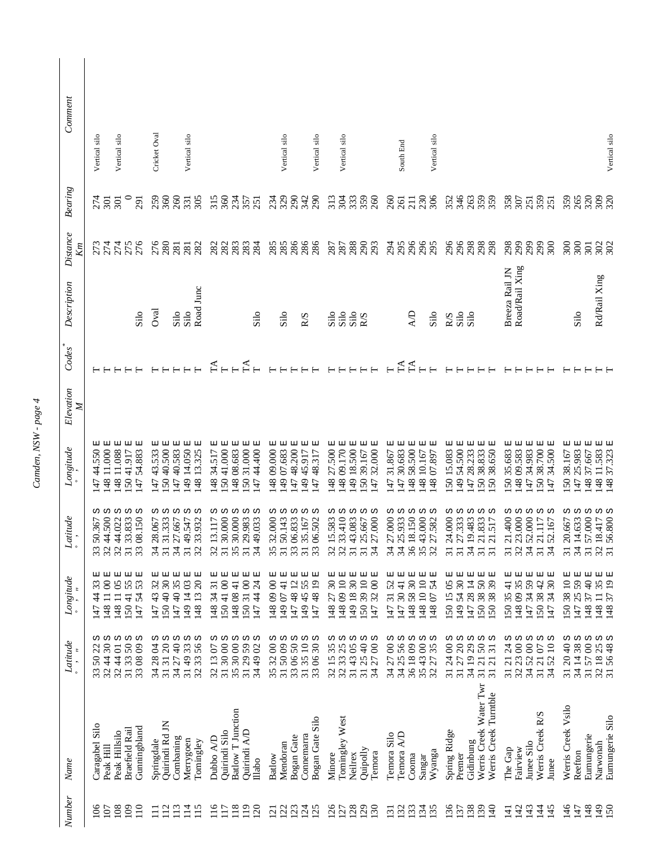| Comment        |                                               |                                |                                                                |                                                                                 |                                 |                                                                    |                                                                                             |                                                                                          |                           |                                                           |                                                          |                                                                    |                                     |                                                                                     |                                                   |                                              |                                               |                                                     |                                                                                             |                                                                                                               |                                                           |                                                          |                                                           |                                               |                                                                        |                                                  |                                                             |
|----------------|-----------------------------------------------|--------------------------------|----------------------------------------------------------------|---------------------------------------------------------------------------------|---------------------------------|--------------------------------------------------------------------|---------------------------------------------------------------------------------------------|------------------------------------------------------------------------------------------|---------------------------|-----------------------------------------------------------|----------------------------------------------------------|--------------------------------------------------------------------|-------------------------------------|-------------------------------------------------------------------------------------|---------------------------------------------------|----------------------------------------------|-----------------------------------------------|-----------------------------------------------------|---------------------------------------------------------------------------------------------|---------------------------------------------------------------------------------------------------------------|-----------------------------------------------------------|----------------------------------------------------------|-----------------------------------------------------------|-----------------------------------------------|------------------------------------------------------------------------|--------------------------------------------------|-------------------------------------------------------------|
|                | Vertical silo                                 | Vertical silo                  |                                                                | Cricket Oval                                                                    |                                 | Vertical silo                                                      |                                                                                             |                                                                                          |                           | Vertical silo                                             | Vertical silo                                            |                                                                    | Vertical silo                       |                                                                                     | South End                                         |                                              | Vertical silo                                 |                                                     |                                                                                             |                                                                                                               |                                                           |                                                          |                                                           |                                               |                                                                        |                                                  | Vertical silo                                               |
| Bearing        | 274<br>$\overline{5}$                         | $\overline{5}$                 | <b>167</b>                                                     | 259<br>360                                                                      | 260                             | 305<br>331                                                         | 315<br>360                                                                                  | 234<br>357<br>251                                                                        | 234                       | 329<br>290                                                | 342<br>290                                               | 313                                                                | 333<br>304                          | 359<br>260                                                                          | 260<br>261                                        | 230<br>211                                   | 306                                           | 352                                                 | 346<br>263                                                                                  | 359                                                                                                           | 358                                                       | 307<br>251                                               | 359                                                       | 251                                           | 359                                                                    | 320<br>265                                       | 309<br>320                                                  |
| Distance<br>Кm |                                               | 274<br>274                     | 275<br>276                                                     | 276<br>280                                                                      | 281                             | 282<br>281                                                         | 282<br>282                                                                                  | 283<br>284                                                                               | 285                       |                                                           | 285<br>286<br>286                                        |                                                                    | 287<br>288<br>298                   | 293                                                                                 | 295<br>294                                        | 296                                          | 296<br>295                                    | 296                                                 | 296<br>298                                                                                  | 298<br>298                                                                                                    | 298                                                       | 299<br>299                                               | 299                                                       | 300                                           | 300<br>300                                                             | 301                                              | 302                                                         |
| Description    |                                               |                                | Silo                                                           | Oval                                                                            | Silo                            | Road Junc<br>Silo                                                  |                                                                                             | Silo                                                                                     |                           | Silo                                                      | R/S                                                      | Silo                                                               | Silo<br>Silo                        | <b>R/S</b>                                                                          |                                                   | R                                            | Silo                                          | <b>R/S</b>                                          | Silo<br>Silo                                                                                |                                                                                                               | Breeza Rail JN                                            | Road/Rail Xing                                           |                                                           |                                               |                                                                        | Silo                                             | Rd/Rail Xing                                                |
| Codes          |                                               |                                |                                                                |                                                                                 |                                 |                                                                    | $\Gamma$ A                                                                                  | $\mathbb{H}$                                                                             |                           |                                                           |                                                          |                                                                    |                                     |                                                                                     | TA                                                | $T\Lambda$                                   |                                               |                                                     |                                                                                             |                                                                                                               |                                                           |                                                          |                                                           |                                               |                                                                        |                                                  |                                                             |
| Elevation<br>Z |                                               |                                |                                                                |                                                                                 |                                 |                                                                    |                                                                                             |                                                                                          |                           |                                                           |                                                          |                                                                    |                                     |                                                                                     |                                                   |                                              |                                               |                                                     |                                                                                             |                                                                                                               |                                                           |                                                          |                                                           |                                               |                                                                        |                                                  |                                                             |
| Longitude      | 더 더<br>44.550<br>11.000<br>48<br>47           | 囸<br>11.088<br>48              | 国<br>囸<br>54.883<br>41.917<br>50.<br>$\overline{47}$           | 国<br>国<br>43.533<br>40.500<br>50<br>47                                          | 国<br>47 40.583                  | 囸<br>囸<br>14.050<br>13.325<br>48<br>49                             | 囯<br>티<br>34.517<br>41.000<br>48<br>50                                                      | 囸<br>44.400 E<br>囸<br>31.000<br>08.683<br>48<br>50<br>$\ddot{t}$                         | 囸<br>09.000<br>48         | 47 48.200 E<br>囸<br>49 07.683                             | $\mathbb{E}$<br>囸<br>45.917<br>48.317<br>49<br>47        | 囸<br>囸<br>27.500<br>09.170<br>48 <sup>1</sup><br>48                | 囸<br>18.500<br>$\overline{6}$       | 囸<br>32.000 E<br>39.167<br>50<br>47                                                 | 囸<br>티<br>30.683<br>31.867<br>47<br>47            | 58.500 E<br>48                               | 囸<br>티<br>10.167<br>48 07.897<br>48           | 囸<br>15.083<br>50                                   | 티<br>囸<br>54.500<br>28.233<br>$\overline{49}$<br>47                                         | 비<br>티<br>38.650<br>38.833<br>50<br>50                                                                        | 囸<br>35.683<br>50                                         | 34.983 E<br>囸<br>09.583<br>48<br>47                      | 38.700 E<br>$50\,$                                        | 34.500 E<br>$\overline{47}$                   | 囸<br>38.167<br>$50\,$<br>47                                            | 囸<br>25.983 E<br>37.667<br>48                    | 囸<br>11.583<br>37.323<br>48<br>$\frac{48}{5}$               |
| Latitude       | ω ω<br>44.500<br>50.367<br>32                 | Ω<br>32 44.022                 | ω ω<br>33.833<br>33 08.150<br>$\overline{31}$                  | ω ω<br>31.333<br>28.067<br>34<br>$\overline{31}$                                | w<br>27.667<br>34               | w<br>ω<br>33.932<br>49.547<br>32<br>$\overline{31}$                | ω ω ω<br>30.000<br>13.117<br>32<br>$\overline{31}$                                          | S<br>w<br>34 49.033<br>29.983<br>30.000<br>35<br>$\overline{31}$                         | ω<br>32.000<br>35         | Ω<br>ω<br>06.833<br>50.143<br>33<br>$\overline{31}$       | w<br>Ω<br>06.502<br>35.167<br>33<br>$\overline{31}$      | w<br>15.583<br>33.410<br>32                                        | w<br>w<br>43.083<br>$\overline{31}$ | ω<br>Ω<br>27.000<br>25.667<br>$\overline{34}$<br>$\overline{31}$                    | w<br>ω<br>25.933<br>27.000<br>34<br>34            | w<br>36 18.150                               | w<br>S<br>43.000<br>27.582<br>35 <sub>2</sub> | w<br>31 24.000                                      | w<br>w<br>27.333<br>19.483<br>$\overline{5}$ $\overline{5}$                                 | Ω<br>ω<br>21.833<br>21.517<br>$\overline{31}$<br>$\overline{31}$                                              | w<br>21.400<br>$\overline{31}$                            | Ω<br>w<br>52.000<br>23.000<br>32<br>34                   | w<br>21.117<br>$\overline{31}$                            | Ω<br>52.167<br>$\mathfrak{Z}$                 | ω<br>31 20.667                                                         | w<br>w<br>34 14.633<br>57.000<br>$\overline{31}$ | ω ω<br>56,800<br>18.417<br>32<br>$\overline{\mathcal{E}}$   |
| Longitude      | $\otimes$<br>33<br>4<br>$\equiv$<br>148<br>47 | 148 11 05 E                    | I50 41 55 E<br>54 53 E<br>147                                  | 30 <sub>1</sub><br>32<br>150 40<br>14743                                        | 147 40 35                       | 149 14 03<br>148 13 20                                             | $\overline{31}$<br>$\infty$<br>15041<br>14834                                               | 150 31 00<br>147 44 24<br>148 08 41                                                      | 1480900                   | 149 07 41 E<br>1474812                                    | 149 45 55<br>1474819                                     | 10 10 60 8 <sup>+</sup><br>$\overline{30}$<br>27<br>$\frac{48}{5}$ | 30<br>14918                         | 150 39 10<br>3200<br>147                                                            | 30411<br>3152<br>147<br>147                       | 148 58 30 E                                  | 148 10 10 E<br>54 E<br>14807                  | 150 15 05                                           | 30<br>$\overline{4}$<br>28<br>54<br>49<br>147                                               | I503839E<br>50 38 50                                                                                          | $\frac{1}{4}$<br>15035                                    | 59 E<br>35<br>34<br>14809<br>147                         | 38 42:<br>150                                             | $\overline{30}$<br>34<br>147                  | 38 10<br>50<br>147                                                     | 25 59 E<br>$\sqrt{4}$<br>57<br>148               | 35<br>$\overline{19}$<br>37<br>$\Box$<br> 48<br>148         |
| Latitude       | ω ω<br>$\mathfrak{S}0$<br>$\ddot{4}$<br>32    | ω<br>$\overline{0}$<br>4<br>32 | ω<br>Ω<br>50<br>$\mathcal{S}$<br>3308<br>33<br>$\overline{31}$ | ω ω<br>$\beta$<br>$\Omega$<br>28<br>$\Xi$<br>$\overline{34}$<br>$\overline{31}$ | ω<br>$\overline{4}$<br>27<br>34 | ω<br>ω<br>56<br>33<br>$\frac{1}{2}$<br>33<br>32<br>$\overline{31}$ | ω ω ω<br>$\infty$<br><b>S</b><br>$\mathfrak{S}0$<br>$\mathfrak{L}$<br>32<br>$\overline{31}$ | ω ω<br>3000<br>59<br>$\infty$<br>29<br>$\frac{49}{5}$<br>$\overline{31}$<br>$34$ .<br>35 | w<br>$\infty$<br>32<br>35 | ω<br>w<br>5009<br>50<br>$\delta$<br>33<br>$\overline{31}$ | w<br>Ω<br>$\Omega$<br>30<br>3135<br>8 <sup>o</sup><br>33 | w<br>25<br>35<br>33<br>$\overline{15}$                             | ω<br>ω<br>$\delta$<br>43<br>222     | ω ω<br>$\overline{a}$<br>$\infty$<br>25<br>27<br>$\overline{34}$<br>$\overline{31}$ | w<br>ω<br>$\otimes$<br>56<br>27<br>25<br>34<br>34 | w<br>$\infty$<br>$\otimes$<br>36 18<br>35 43 | ω<br>Ω<br>35<br>27<br>32                      | w<br>$\infty$<br>$\overline{24}$<br>$\overline{31}$ | ω<br>w<br>$\overline{20}$<br>29<br>$\overline{0}$<br>27<br>$\mathcal{L}$<br>$\overline{31}$ | ω<br>Ω<br>$50\,$<br>$\overline{31}$<br>$\overline{c}$<br>$\overline{c}$<br>$\overline{31}$<br>$\overline{31}$ | w<br>$\overline{24}$<br>$\overline{c}$<br>$\overline{31}$ | Ω<br>ω<br>$\otimes$<br>$\otimes$<br>23<br>52<br>34<br>32 | w<br>$\overline{C}$<br>$\overline{21}$<br>$\overline{31}$ | Ω<br>$\overline{10}$<br>52<br>$\overline{34}$ | w<br>38<br>$\frac{1}{2}$<br>$\overline{c}$<br>$\Xi$<br>$\overline{31}$ | Ω<br>ω<br>$\infty$<br>57<br>$\frac{3}{4}$        | თ თ<br>1825<br>$\frac{4}{8}$<br>56<br>32<br>$\overline{31}$ |
| Name           | Caragabel Silo<br>Peak Hill                   | Peak Hillsilo                  | Gunningbland<br>Braefield Rail                                 | Quirindi Rd JN<br>Springdale                                                    | Combaning                       | Merrygoen<br>Tomingley                                             | Quirindi Silo<br>Dubbo A/D                                                                  | Batlow T Junction<br>Quirindi A/L<br>$\mathbb{N}$ abo                                    | Batlow                    | Bogan Gate<br>Mendoran                                    | Bogan Gate Silo<br>Connemarra                            | Minore                                                             | Tomingley West<br>Neilrex           | Quipolly<br>Temora                                                                  | Temora A/D<br>Temora Silo                         | Cooma                                        | Wyanga<br>Sangar                              | Spring Ridge                                        | Gidinbung<br>Premer                                                                         | Werris Creek Water Twr<br>Werris Creek Turntble                                                               | The Gap                                                   | Junee Silo<br>Fairview                                   | Werris Creek R/S                                          | Junee                                         | Werris Creek Vsilo                                                     | Eumungerie<br>Reefton                            | Eumungerie Silo<br>Narwonah                                 |
| <b>Number</b>  | $\approx$<br>$\overline{5}$                   | 108                            | 109<br>110                                                     | $\Xi$<br>Ξ                                                                      | $\overline{13}$                 | $\overline{14}$<br>15                                              | 16<br>$\overline{17}$                                                                       | $\frac{18}{2}$<br>$\frac{19}{2}$<br><b>20</b>                                            | $\overline{21}$           | 22<br>$\overline{23}$                                     | $\overline{24}$<br>25                                    | 26<br>27                                                           | 28                                  | 29<br>$\overline{30}$                                                               | 32<br>$\overline{31}$                             | 33                                           | $\ddot{3}$<br>35                              | 36                                                  | 37                                                                                          | 39<br>$\Theta$                                                                                                | $\overline{4}$                                            | $\overline{42}$<br>$\overline{43}$                       | $\overline{4}$                                            | $\overline{45}$                               | $\frac{46}{5}$<br>$\overline{H}$                                       | $\frac{48}{5}$                                   | $\frac{49}{5}$<br>50                                        |

Camden,  $NSW$  -  $page \, 4$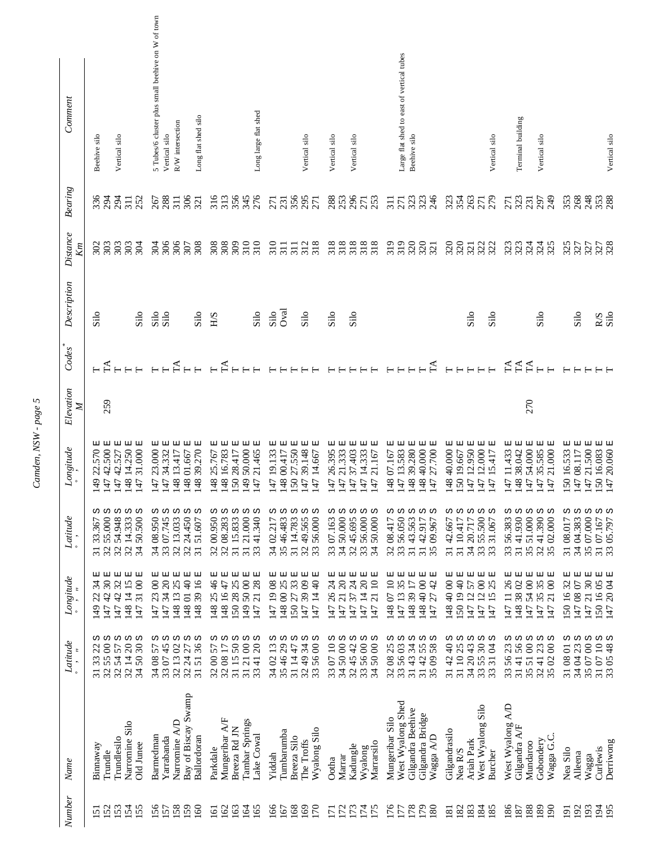| Comment                           | Vertical silo<br>Beehive silo                                                                                                                           | 5 Tubes/6 cluster plus small beehive on W of town<br>Long flat shed silo<br>R/W intersection<br>Vertical silo                                                   | Long large flat shed                                                                                                                                                                                     | Vertical silo                                                                                           | Vertical silo<br>Vertical silo                                                                                                                                                                                                 | Large flat shed to east of vertical tubes<br>Beehive silo                                                                                                                                  | Vertical silo                                                                                                                                                                   | Terminal building<br>Vertical silo                                                                                                                                    | Vertical silo                                                                                                 |
|-----------------------------------|---------------------------------------------------------------------------------------------------------------------------------------------------------|-----------------------------------------------------------------------------------------------------------------------------------------------------------------|----------------------------------------------------------------------------------------------------------------------------------------------------------------------------------------------------------|---------------------------------------------------------------------------------------------------------|--------------------------------------------------------------------------------------------------------------------------------------------------------------------------------------------------------------------------------|--------------------------------------------------------------------------------------------------------------------------------------------------------------------------------------------|---------------------------------------------------------------------------------------------------------------------------------------------------------------------------------|-----------------------------------------------------------------------------------------------------------------------------------------------------------------------|---------------------------------------------------------------------------------------------------------------|
| <b>Bearing</b>                    | $336$<br>294<br>294<br>252<br>$\overline{31}$                                                                                                           | 306<br>267<br>288<br>311<br>321                                                                                                                                 | 313<br>356<br>345<br>276                                                                                                                                                                                 | 356<br>295<br>271<br>271<br>231                                                                         | 283<br>253<br>253<br>253                                                                                                                                                                                                       | 333<br>334<br>$\overline{51}$<br>271                                                                                                                                                       | 33655                                                                                                                                                                           | 249<br>$\frac{23}{23}$<br>297<br>271                                                                                                                                  | 353<br>248<br>353<br>288                                                                                      |
| <b>Distance</b><br>$\mathbb{K}$ m | $\frac{302}{303}$<br>303<br>303<br>304                                                                                                                  | 306<br>308<br>304<br>307                                                                                                                                        | 310<br>309<br>308                                                                                                                                                                                        | 310<br>312<br>311<br>$\overline{311}$                                                                   | 318<br>33888                                                                                                                                                                                                                   | 320<br>320<br>321<br>319                                                                                                                                                                   | ន្តន្តដូនដ                                                                                                                                                                      | 333453<br>33353                                                                                                                                                       | 327<br>327<br>327                                                                                             |
| Description                       | Silo<br>Silo                                                                                                                                            | Silo<br>Silo<br>Silo                                                                                                                                            | Silo<br>E/H                                                                                                                                                                                              | Oval<br>Silo<br>Silo                                                                                    | Silo<br>Silo                                                                                                                                                                                                                   |                                                                                                                                                                                            | Silo<br>Silo                                                                                                                                                                    | Silo                                                                                                                                                                  | RS<br>Silo<br>Silo                                                                                            |
| Codes                             |                                                                                                                                                         | $F^A$                                                                                                                                                           | $F_{F}$                                                                                                                                                                                                  |                                                                                                         |                                                                                                                                                                                                                                | $T\Lambda$                                                                                                                                                                                 |                                                                                                                                                                                 | HAA<br>HAA                                                                                                                                                            |                                                                                                               |
| Elevation<br>$\mathbb{Z}$         | 259                                                                                                                                                     |                                                                                                                                                                 |                                                                                                                                                                                                          |                                                                                                         |                                                                                                                                                                                                                                |                                                                                                                                                                                            |                                                                                                                                                                                 | 270                                                                                                                                                                   |                                                                                                               |
| Longitude                         | 47 42.500 E<br>47 42.527 E<br>148 14.250 E<br>147 31.000 E<br>囸<br>22.570<br>149                                                                        | 147 23.000 E<br>147 34.332 E<br>148 01.667 E<br>148 39.270 E<br>国<br>148 13.417                                                                                 | 148 25.767 E<br>148 16.783 E<br>国<br>프<br>147 21.465 E<br>149 50.000<br>150 28.417                                                                                                                       | 147 19.133 E<br>148 00.417 E<br>150 27.550 E<br>147 39.148 E<br>巴<br>47 14.667                          | 47 26.395 E<br>47 21.333 E<br>37.403 E<br>14.333 E<br>囸<br>47 21.167<br>$\overline{47}$<br>$\overline{47}$                                                                                                                     | $\begin{array}{c} 148\ 07.167\ \mathrm{E}\\ 147\ 13.583\ \mathrm{E}\\ 148\ 39.280\ \mathrm{E}\\ 148\ 40.000\ \mathrm{E}\\ 148\ 40.000\ \mathrm{E}\\ 147\ 27.700\ \mathrm{E}\\ \end{array}$ | 148 40.000 E<br>150 19.667 E<br>147 12.950 E<br>147 12.000 E<br>던<br>47 15.417                                                                                                  | $21.000$ E<br>47 11.433 E<br>148 38.042 E<br>147 54.000 E<br>35.585 E<br>$\overline{47}$<br>47                                                                        | 150 16.533 E<br>147 08.117 E<br>47 21.500 E<br>150 16.083 E<br>147 20.060 E                                   |
| Latitude                          | ω ω ω<br>ω ω<br>50.500<br>55.000<br>54.948<br>32 14.333<br>33.367<br>34<br>32<br>32                                                                     | ω ω<br>ω<br>ω ω<br>24.450<br>34 08.950<br>33 07.745<br>32 13.033<br>51.607<br>32<br>$\overline{31}$                                                             | ω ω<br>w<br>ω ω<br>31 15.833<br>21.000<br>32 00.950<br>32 08.283<br>41.340<br>$\overline{31}$<br>33                                                                                                      | Ω<br>ω ω<br>ပာ<br>ω<br>35 46.483<br>31 14.783<br>32 49.565<br>33 56.000<br>56.000<br>34 02.217          | w<br>ω ω<br>ω<br>ω<br>3450.000<br>07.163<br>45.695<br>56.000<br>50.000<br>33<br>28.34                                                                                                                                          | ω ω<br>ω<br>ω ω<br>32 08.417<br>33 56.050<br>43.563<br>42.917<br>09.967<br>$\overline{31}$ .<br>35<br>$\overline{31}$                                                                      | ω ω<br>w<br>ω<br>Ω<br>55.500<br>42.667<br>34 20.717<br>33 55.500<br>33 31.067<br>10.417<br>$\overline{31}$                                                                      | w<br>ω ω<br>ω ω<br>41.390<br>56.383<br>41.930<br>51.000<br>02.000<br>35 <sub>1</sub><br>33<br>35<br>$\overline{31}$                                                   | ω ω<br>ω<br>თ თ<br>35 07.000<br>34 04.383<br>31 07.167<br>33 05.797<br>31 08.017                              |
| Longitude                         | 国<br>더 더<br>国<br>티<br>$\overline{30}$<br>148 14 15<br>3100<br>32<br>34<br>42<br>$\overline{d}$<br>22<br> 47<br>147<br>$\frac{49}{5}$<br>$\overline{47}$ | $\begin{array}{c} 00 \text{ E}\\ 20 \text{ E} \end{array}$<br>25E<br>148 01 40 E<br>148 39 16 E<br>34<br>$\overline{13}$<br>23<br>148<br>$\overline{47}$<br>147 | 더 더<br>国<br>国国<br>25 46<br>48 16 47<br>50 28 25<br>149 50 00<br>21 28<br>48<br>$\overline{47}$                                                                                                           | 더 더<br>国国国<br>147 19 08 :<br>148 00 25 :<br>3909<br>33<br>471440<br>27<br>50<br>47                      | 国<br>国<br>모 모<br>囸<br>$\overline{c}$<br>$\overline{24}$<br>$20\,$<br>$\overline{24}$<br>2110<br>26<br>$\overline{4}$<br>$\overline{c}$<br>37<br>$\overline{47}$<br>47<br>$\overline{47}$<br>$\overline{47}$<br>$\overline{47}$ | 더 더<br>国<br>国国<br>$\overline{10}$<br>35<br>4000<br>42<br>39 17<br>$13$<br>$\overline{C}$<br>27<br> 47<br>48<br> 48<br>48<br>$\overline{47}$                                                | 더 더<br>国<br>国国<br>50 19 40<br>$1200$<br>4000<br>25<br>57<br>$\overline{2}$<br>15<br>$\ddot{t}$<br>$\overline{47}$<br>$\frac{8}{3}$<br>$\overline{47}$                           | 国国<br>国<br>国<br>囸<br>35<br>5400<br>26<br>2100<br>3802<br>35<br>$\equiv$<br>48<br>47<br>$\overline{47}$<br>$\overline{47}$<br>47                                       | 国国<br>더 더<br>国<br>21 30<br>$\frac{150}{147}$ 20 04 :<br>32<br>47 08 07<br>$\overline{16}$<br>50<br>$\ddot{t}$ |
| Latitude                          | w<br>ω<br>ω ω<br>Ω<br>$\Omega$<br>$\overline{30}$<br>$\infty$<br>57<br>55<br>32 14<br>50<br>54<br>32<br>34<br>32                                        | ω ω<br>w<br>ω<br>Ω<br>36<br>45<br>$\Omega$<br>57<br>27<br>$\overline{13}$<br>$\overline{24}$<br>51<br>34 08<br>33 07<br>32 13<br>32<br>$\overline{31}$          | ω ω ω<br>ω ω<br>$\otimes$<br>$50\,$<br>$\Omega$<br>$\overline{17}$<br>57<br>$\overline{21}$<br>$_{08}$<br>$\infty$<br>$\frac{1}{4}$<br>15<br>$\frac{32}{32}$<br>$\overline{31}$<br>$\overline{31}$<br>33 | ω ω ω<br>ω ω<br>34<br>35 46 29<br>$\overline{13}$<br>$\infty$<br>47<br>49<br>56<br>31 14.<br>3402<br>33 | <b>00 00 00 00</b><br>5000<br>5600<br>$\overline{a}$<br>42<br>5000<br>45<br>$\overline{C}$<br>$\frac{4}{3}$ $\frac{2}{3}$ $\frac{2}{3}$ $\frac{4}{3}$<br>33                                                                    | ω ω<br>ω ω ω<br>$\mathfrak{S}$<br>34<br>55<br>25<br>56<br>$43$<br>$\infty$<br>3509<br>$\frac{2}{3}$ ក្លី ក្ល                                                                               | ω ω<br>ω ω<br>w<br>$30\,$<br>25<br>$\frac{1}{2}$<br>$-2043$<br>Å<br>$\overline{a}$<br>55<br>$\overline{31}$<br>$\overline{4}$<br>$\overline{a} \overline{a} \overline{a}$<br>33 | ω ω<br>ω ω ω<br>56<br>$\otimes$<br>23<br>23<br>$\infty$<br>$\overline{51}$<br>$\overline{4}$<br>56<br>$\overline{4}$<br>$\infty$<br>35<br>33<br>35<br>$\overline{31}$ | Ω<br>ω ω<br>ω ω<br>310710<br>$\infty$<br>23<br>$\overline{c}$<br>3404<br>3507<br>3108                         |
| Name                              | Narromine Silo<br>Trundlesilo<br>Old Junee<br>Binnaway<br>Trundle                                                                                       | Bay of Biscay Swamp<br>Narromine A/D<br>Barmedman<br>Yarrabanda<br>Ballordoran                                                                                  | Mungeribar A/F<br>Tambar Springs<br>Breeza Rd JN<br>Lake Cowal<br>Parkdale                                                                                                                               | Wyalong Silo<br>Tumbarumba<br>Breeza Silo<br>The Troffs<br>Yiddah                                       | Wyalong<br>Marrarsilo<br>Kadungle<br>Marrar<br>Ootha                                                                                                                                                                           | West Wyalong Shed<br>Gilgandra Beehive<br>Gilgandra Bridge<br>Mungeribar Silo<br>Wagga A/D                                                                                                 | West Wyalong Silo<br>Gilgandrasilo<br>Ariah Park<br>Nea R/S<br>Burcher                                                                                                          | West Wyalong A/D<br>Gilgandra A/F<br>Wagga G.C.<br>Gobondery<br>Mundaroo                                                                                              | Derriwong<br>Curlewis<br>Nea Silo<br>Alleena<br>Wagga                                                         |
| Number                            | <b>53</b><br>154<br>52<br>155<br>5                                                                                                                      | 158<br>159<br>56<br>57<br>$\overline{160}$                                                                                                                      | 163<br>162<br>164<br>165<br>$\overline{6}$                                                                                                                                                               | 166<br>168<br>169<br>167<br>$\overline{5}$                                                              | 172<br>173<br>$\frac{175}{75}$<br>$\overline{\Xi}$                                                                                                                                                                             | $\overline{16}$<br>178<br>LL1<br>180                                                                                                                                                       | 182<br>183<br>184<br>185<br>$\overline{8}$                                                                                                                                      | 188<br>86<br>189<br>187<br>$\mathfrak{g}_0$                                                                                                                           | 193<br>192<br>$\frac{195}{2}$<br>$\overline{2}$                                                               |

Camden, NSW - page 5 *Camden, NSW - page 5*